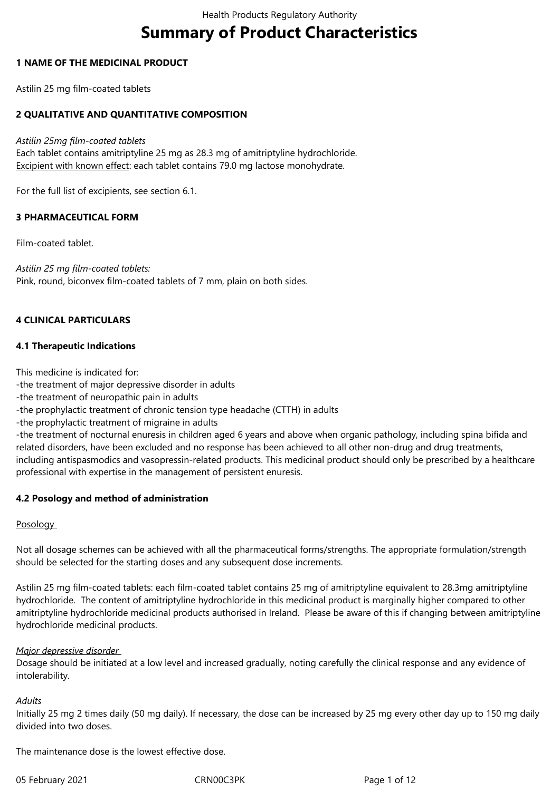# **Summary of Product Characteristics**

## **1 NAME OF THE MEDICINAL PRODUCT**

Astilin 25 mg film-coated tablets

## **2 QUALITATIVE AND QUANTITATIVE COMPOSITION**

*Astilin 25mg film-coated tablets*

Each tablet contains amitriptyline 25 mg as 28.3 mg of amitriptyline hydrochloride. Excipient with known effect: each tablet contains 79.0 mg lactose monohydrate.

For the full list of excipients, see section 6.1.

## **3 PHARMACEUTICAL FORM**

Film-coated tablet.

*Astilin 25 mg film-coated tablets:* Pink, round, biconvex film-coated tablets of 7 mm, plain on both sides.

## **4 CLINICAL PARTICULARS**

#### **4.1 Therapeutic Indications**

This medicine is indicated for:

-the treatment of major depressive disorder in adults

-the treatment of neuropathic pain in adults

-the prophylactic treatment of chronic tension type headache (CTTH) in adults

-the prophylactic treatment of migraine in adults

-the treatment of nocturnal enuresis in children aged 6 years and above when organic pathology, including spina bifida and related disorders, have been excluded and no response has been achieved to all other non-drug and drug treatments, including antispasmodics and vasopressin-related products. This medicinal product should only be prescribed by a healthcare professional with expertise in the management of persistent enuresis.

#### **4.2 Posology and method of administration**

#### **Posology**

Not all dosage schemes can be achieved with all the pharmaceutical forms/strengths. The appropriate formulation/strength should be selected for the starting doses and any subsequent dose increments.

Astilin 25 mg film-coated tablets: each film-coated tablet contains 25 mg of amitriptyline equivalent to 28.3mg amitriptyline hydrochloride. The content of amitriptyline hydrochloride in this medicinal product is marginally higher compared to other amitriptyline hydrochloride medicinal products authorised in Ireland. Please be aware of this if changing between amitriptyline hydrochloride medicinal products.

#### *Major depressive disorder*

Dosage should be initiated at a low level and increased gradually, noting carefully the clinical response and any evidence of intolerability.

#### *Adults*

Initially 25 mg 2 times daily (50 mg daily). If necessary, the dose can be increased by 25 mg every other day up to 150 mg daily divided into two doses.

The maintenance dose is the lowest effective dose.

05 February 2021 **CRN00C3PK** CRN00C3PK Page 1 of 12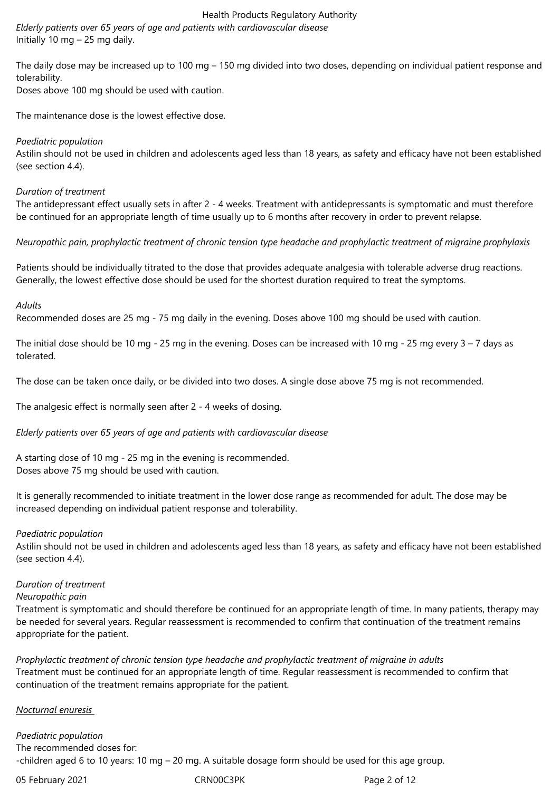*Elderly patients over 65 years of age and patients with cardiovascular disease*  Initially 10 mg – 25 mg daily.

The daily dose may be increased up to 100 mg – 150 mg divided into two doses, depending on individual patient response and tolerability.

Doses above 100 mg should be used with caution.

The maintenance dose is the lowest effective dose.

## *Paediatric population*

Astilin should not be used in children and adolescents aged less than 18 years, as safety and efficacy have not been established (see section 4.4).

## *Duration of treatment*

The antidepressant effect usually sets in after 2 - 4 weeks. Treatment with antidepressants is symptomatic and must therefore be continued for an appropriate length of time usually up to 6 months after recovery in order to prevent relapse.

# *Neuropathic pain, prophylactic treatment of chronic tension type headache and prophylactic treatment of migraine prophylaxis*

Patients should be individually titrated to the dose that provides adequate analgesia with tolerable adverse drug reactions. Generally, the lowest effective dose should be used for the shortest duration required to treat the symptoms.

## *Adults*

Recommended doses are 25 mg - 75 mg daily in the evening. Doses above 100 mg should be used with caution.

The initial dose should be 10 mg - 25 mg in the evening. Doses can be increased with 10 mg - 25 mg every  $3 - 7$  days as tolerated.

The dose can be taken once daily, or be divided into two doses. A single dose above 75 mg is not recommended.

The analgesic effect is normally seen after 2 - 4 weeks of dosing.

*Elderly patients over 65 years of age and patients with cardiovascular disease* 

A starting dose of 10 mg - 25 mg in the evening is recommended. Doses above 75 mg should be used with caution.

It is generally recommended to initiate treatment in the lower dose range as recommended for adult. The dose may be increased depending on individual patient response and tolerability.

#### *Paediatric population*

Astilin should not be used in children and adolescents aged less than 18 years, as safety and efficacy have not been established (see section 4.4).

#### *Duration of treatment*

#### *Neuropathic pain*

Treatment is symptomatic and should therefore be continued for an appropriate length of time. In many patients, therapy may be needed for several years. Regular reassessment is recommended to confirm that continuation of the treatment remains appropriate for the patient.

*Prophylactic treatment of chronic tension type headache and prophylactic treatment of migraine in adults*  Treatment must be continued for an appropriate length of time. Regular reassessment is recommended to confirm that continuation of the treatment remains appropriate for the patient.

#### *Nocturnal enuresis*

*Paediatric population*  The recommended doses for: -children aged 6 to 10 years: 10 mg – 20 mg. A suitable dosage form should be used for this age group.

05 February 2021 **CRN00C3PK** CRNOOC3PK Page 2 of 12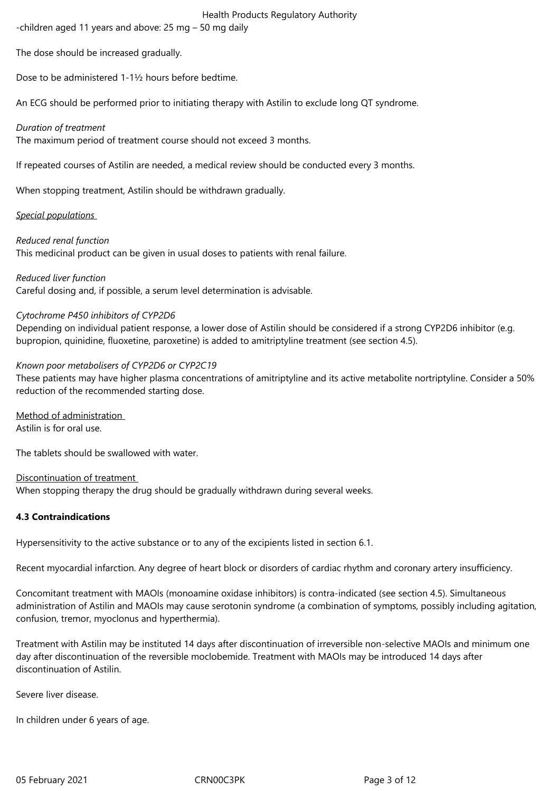-children aged 11 years and above: 25 mg – 50 mg daily

The dose should be increased gradually.

Dose to be administered 1-1½ hours before bedtime.

An ECG should be performed prior to initiating therapy with Astilin to exclude long QT syndrome.

# *Duration of treatment*

The maximum period of treatment course should not exceed 3 months.

If repeated courses of Astilin are needed, a medical review should be conducted every 3 months.

When stopping treatment, Astilin should be withdrawn gradually.

# *Special populations*

*Reduced renal function* 

This medicinal product can be given in usual doses to patients with renal failure.

*Reduced liver function* 

Careful dosing and, if possible, a serum level determination is advisable.

# *Cytochrome P450 inhibitors of CYP2D6*

Depending on individual patient response, a lower dose of Astilin should be considered if a strong CYP2D6 inhibitor (e.g. bupropion, quinidine, fluoxetine, paroxetine) is added to amitriptyline treatment (see section 4.5).

# *Known poor metabolisers of CYP2D6 or CYP2C19*

These patients may have higher plasma concentrations of amitriptyline and its active metabolite nortriptyline. Consider a 50% reduction of the recommended starting dose.

Method of administration Astilin is for oral use.

The tablets should be swallowed with water.

# Discontinuation of treatment

When stopping therapy the drug should be gradually withdrawn during several weeks.

# **4.3 Contraindications**

Hypersensitivity to the active substance or to any of the excipients listed in section 6.1.

Recent myocardial infarction. Any degree of heart block or disorders of cardiac rhythm and coronary artery insufficiency.

Concomitant treatment with MAOIs (monoamine oxidase inhibitors) is contra-indicated (see section 4.5). Simultaneous administration of Astilin and MAOIs may cause serotonin syndrome (a combination of symptoms, possibly including agitation, confusion, tremor, myoclonus and hyperthermia).

Treatment with Astilin may be instituted 14 days after discontinuation of irreversible non-selective MAOIs and minimum one day after discontinuation of the reversible moclobemide. Treatment with MAOIs may be introduced 14 days after discontinuation of Astilin.

Severe liver disease.

In children under 6 years of age.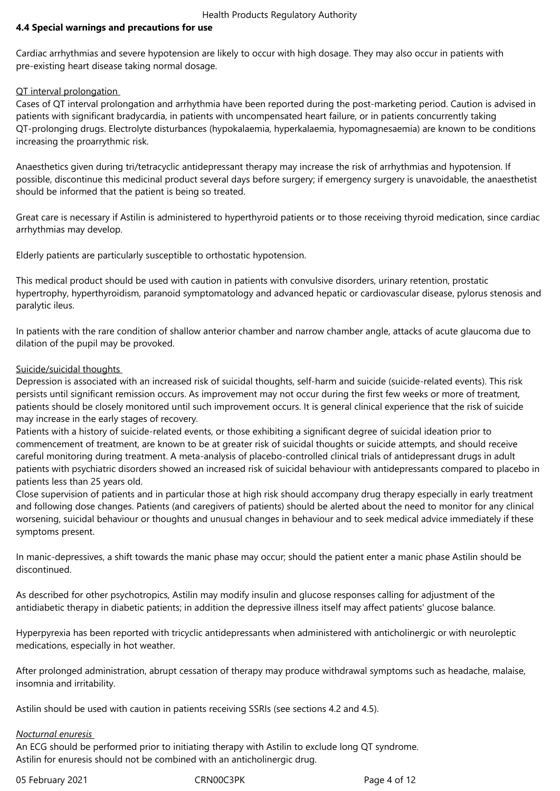## **4.4 Special warnings and precautions for use**

Cardiac arrhythmias and severe hypotension are likely to occur with high dosage. They may also occur in patients with pre-existing heart disease taking normal dosage.

#### QT interval prolongation

Cases of QT interval prolongation and arrhythmia have been reported during the post-marketing period. Caution is advised in patients with significant bradycardia, in patients with uncompensated heart failure, or in patients concurrently taking QT-prolonging drugs. Electrolyte disturbances (hypokalaemia, hyperkalaemia, hypomagnesaemia) are known to be conditions increasing the proarrythmic risk.

Anaesthetics given during tri/tetracyclic antidepressant therapy may increase the risk of arrhythmias and hypotension. If possible, discontinue this medicinal product several days before surgery; if emergency surgery is unavoidable, the anaesthetist should be informed that the patient is being so treated.

Great care is necessary if Astilin is administered to hyperthyroid patients or to those receiving thyroid medication, since cardiac arrhythmias may develop.

Elderly patients are particularly susceptible to orthostatic hypotension.

This medical product should be used with caution in patients with convulsive disorders, urinary retention, prostatic hypertrophy, hyperthyroidism, paranoid symptomatology and advanced hepatic or cardiovascular disease, pylorus stenosis and paralytic ileus.

In patients with the rare condition of shallow anterior chamber and narrow chamber angle, attacks of acute glaucoma due to dilation of the pupil may be provoked.

#### Suicide/suicidal thoughts

Depression is associated with an increased risk of suicidal thoughts, self-harm and suicide (suicide-related events). This risk persists until significant remission occurs. As improvement may not occur during the first few weeks or more of treatment, patients should be closely monitored until such improvement occurs. It is general clinical experience that the risk of suicide may increase in the early stages of recovery.

Patients with a history of suicide-related events, or those exhibiting a significant degree of suicidal ideation prior to commencement of treatment, are known to be at greater risk of suicidal thoughts or suicide attempts, and should receive careful monitoring during treatment. A meta-analysis of placebo-controlled clinical trials of antidepressant drugs in adult patients with psychiatric disorders showed an increased risk of suicidal behaviour with antidepressants compared to placebo in patients less than 25 years old.

Close supervision of patients and in particular those at high risk should accompany drug therapy especially in early treatment and following dose changes. Patients (and caregivers of patients) should be alerted about the need to monitor for any clinical worsening, suicidal behaviour or thoughts and unusual changes in behaviour and to seek medical advice immediately if these symptoms present.

In manic-depressives, a shift towards the manic phase may occur; should the patient enter a manic phase Astilin should be discontinued.

As described for other psychotropics, Astilin may modify insulin and glucose responses calling for adjustment of the antidiabetic therapy in diabetic patients; in addition the depressive illness itself may affect patients' glucose balance.

Hyperpyrexia has been reported with tricyclic antidepressants when administered with anticholinergic or with neuroleptic medications, especially in hot weather.

After prolonged administration, abrupt cessation of therapy may produce withdrawal symptoms such as headache, malaise, insomnia and irritability.

Astilin should be used with caution in patients receiving SSRIs (see sections 4.2 and 4.5).

#### *Nocturnal enuresis*

An ECG should be performed prior to initiating therapy with Astilin to exclude long QT syndrome. Astilin for enuresis should not be combined with an anticholinergic drug.

05 February 2021 **CRN00C3PK** CRNOOC3PK Page 4 of 12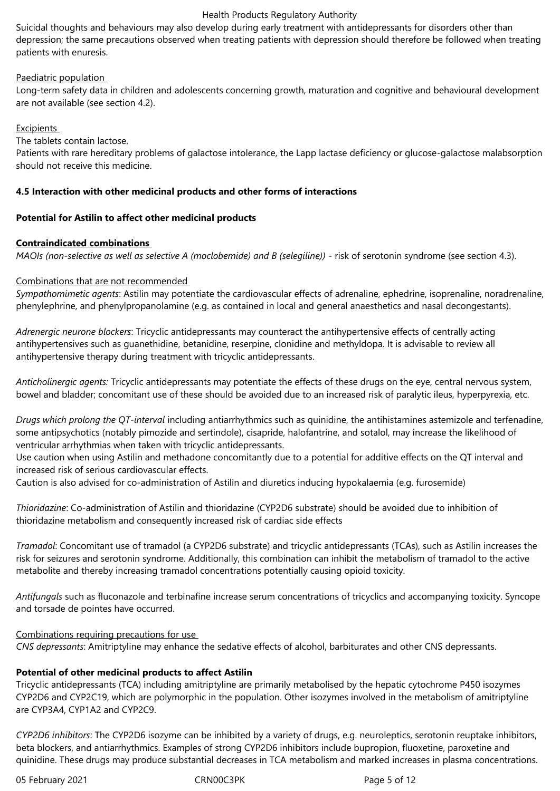Suicidal thoughts and behaviours may also develop during early treatment with antidepressants for disorders other than depression; the same precautions observed when treating patients with depression should therefore be followed when treating patients with enuresis.

## Paediatric population

Long-term safety data in children and adolescents concerning growth, maturation and cognitive and behavioural development are not available (see section 4.2).

## **Excipients**

The tablets contain lactose.

Patients with rare hereditary problems of galactose intolerance, the Lapp lactase deficiency or glucose-galactose malabsorption should not receive this medicine.

## **4.5 Interaction with other medicinal products and other forms of interactions**

## **Potential for Astilin to affect other medicinal products**

## **Contraindicated combinations**

*MAOIs (non-selective as well as selective A (moclobemide) and B (selegiline))* - risk of serotonin syndrome (see section 4.3).

## Combinations that are not recommended

*Sympathomimetic agents*: Astilin may potentiate the cardiovascular effects of adrenaline, ephedrine, isoprenaline, noradrenaline, phenylephrine, and phenylpropanolamine (e.g. as contained in local and general anaesthetics and nasal decongestants).

*Adrenergic neurone blockers*: Tricyclic antidepressants may counteract the antihypertensive effects of centrally acting antihypertensives such as guanethidine, betanidine, reserpine, clonidine and methyldopa. It is advisable to review all antihypertensive therapy during treatment with tricyclic antidepressants.

*Anticholinergic agents:* Tricyclic antidepressants may potentiate the effects of these drugs on the eye, central nervous system, bowel and bladder; concomitant use of these should be avoided due to an increased risk of paralytic ileus, hyperpyrexia, etc.

*Drugs which prolong the QT-interval* including antiarrhythmics such as quinidine, the antihistamines astemizole and terfenadine, some antipsychotics (notably pimozide and sertindole), cisapride, halofantrine, and sotalol, may increase the likelihood of ventricular arrhythmias when taken with tricyclic antidepressants.

Use caution when using Astilin and methadone concomitantly due to a potential for additive effects on the QT interval and increased risk of serious cardiovascular effects.

Caution is also advised for co-administration of Astilin and diuretics inducing hypokalaemia (e.g. furosemide)

*Thioridazine*: Co-administration of Astilin and thioridazine (CYP2D6 substrate) should be avoided due to inhibition of thioridazine metabolism and consequently increased risk of cardiac side effects

*Tramadol*: Concomitant use of tramadol (a CYP2D6 substrate) and tricyclic antidepressants (TCAs), such as Astilin increases the risk for seizures and serotonin syndrome. Additionally, this combination can inhibit the metabolism of tramadol to the active metabolite and thereby increasing tramadol concentrations potentially causing opioid toxicity.

*Antifungals* such as fluconazole and terbinafine increase serum concentrations of tricyclics and accompanying toxicity. Syncope and torsade de pointes have occurred.

#### Combinations requiring precautions for use

*CNS depressants*: Amitriptyline may enhance the sedative effects of alcohol, barbiturates and other CNS depressants.

# **Potential of other medicinal products to affect Astilin**

Tricyclic antidepressants (TCA) including amitriptyline are primarily metabolised by the hepatic cytochrome P450 isozymes CYP2D6 and CYP2C19, which are polymorphic in the population. Other isozymes involved in the metabolism of amitriptyline are CYP3A4, CYP1A2 and CYP2C9.

*CYP2D6 inhibitors*: The CYP2D6 isozyme can be inhibited by a variety of drugs, e.g. neuroleptics, serotonin reuptake inhibitors, beta blockers, and antiarrhythmics. Examples of strong CYP2D6 inhibitors include bupropion, fluoxetine, paroxetine and quinidine. These drugs may produce substantial decreases in TCA metabolism and marked increases in plasma concentrations.

05 February 2021 **CRN00C3PK** CRN00C3PK Page 5 of 12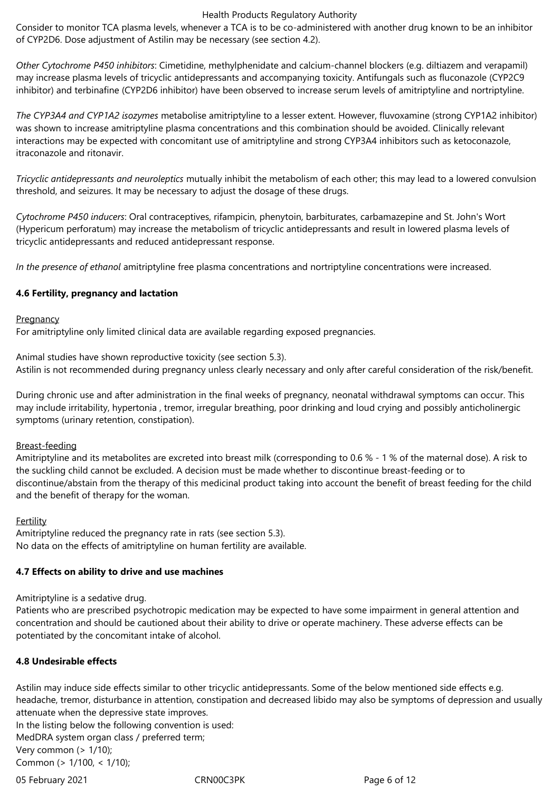Consider to monitor TCA plasma levels, whenever a TCA is to be co-administered with another drug known to be an inhibitor of CYP2D6. Dose adjustment of Astilin may be necessary (see section 4.2).

*Other Cytochrome P450 inhibitors*: Cimetidine, methylphenidate and calcium-channel blockers (e.g. diltiazem and verapamil) may increase plasma levels of tricyclic antidepressants and accompanying toxicity. Antifungals such as fluconazole (CYP2C9 inhibitor) and terbinafine (CYP2D6 inhibitor) have been observed to increase serum levels of amitriptyline and nortriptyline.

*The CYP3A4 and CYP1A2 isozymes* metabolise amitriptyline to a lesser extent. However, fluvoxamine (strong CYP1A2 inhibitor) was shown to increase amitriptyline plasma concentrations and this combination should be avoided. Clinically relevant interactions may be expected with concomitant use of amitriptyline and strong CYP3A4 inhibitors such as ketoconazole, itraconazole and ritonavir.

*Tricyclic antidepressants and neuroleptics* mutually inhibit the metabolism of each other; this may lead to a lowered convulsion threshold, and seizures. It may be necessary to adjust the dosage of these drugs.

*Cytochrome P450 inducers*: Oral contraceptives, rifampicin, phenytoin, barbiturates, carbamazepine and St. John's Wort (Hypericum perforatum) may increase the metabolism of tricyclic antidepressants and result in lowered plasma levels of tricyclic antidepressants and reduced antidepressant response.

*In the presence of ethanol* amitriptyline free plasma concentrations and nortriptyline concentrations were increased.

## **4.6 Fertility, pregnancy and lactation**

#### **Pregnancy**

For amitriptyline only limited clinical data are available regarding exposed pregnancies.

Animal studies have shown reproductive toxicity (see section 5.3). Astilin is not recommended during pregnancy unless clearly necessary and only after careful consideration of the risk/benefit.

During chronic use and after administration in the final weeks of pregnancy, neonatal withdrawal symptoms can occur. This may include irritability, hypertonia , tremor, irregular breathing, poor drinking and loud crying and possibly anticholinergic symptoms (urinary retention, constipation).

#### Breast-feeding

Amitriptyline and its metabolites are excreted into breast milk (corresponding to 0.6 % - 1 % of the maternal dose). A risk to the suckling child cannot be excluded. A decision must be made whether to discontinue breast-feeding or to discontinue/abstain from the therapy of this medicinal product taking into account the benefit of breast feeding for the child and the benefit of therapy for the woman.

#### Fertility

Amitriptyline reduced the pregnancy rate in rats (see section 5.3). No data on the effects of amitriptyline on human fertility are available.

# **4.7 Effects on ability to drive and use machines**

Amitriptyline is a sedative drug.

Patients who are prescribed psychotropic medication may be expected to have some impairment in general attention and concentration and should be cautioned about their ability to drive or operate machinery. These adverse effects can be potentiated by the concomitant intake of alcohol.

# **4.8 Undesirable effects**

Astilin may induce side effects similar to other tricyclic antidepressants. Some of the below mentioned side effects e.g. headache, tremor, disturbance in attention, constipation and decreased libido may also be symptoms of depression and usually attenuate when the depressive state improves.

In the listing below the following convention is used: MedDRA system organ class / preferred term; Very common  $($  >  $1/10$ );

Common (> 1/100, < 1/10);

05 February 2021 **CRN00C3PK** CRNOOC3PK Page 6 of 12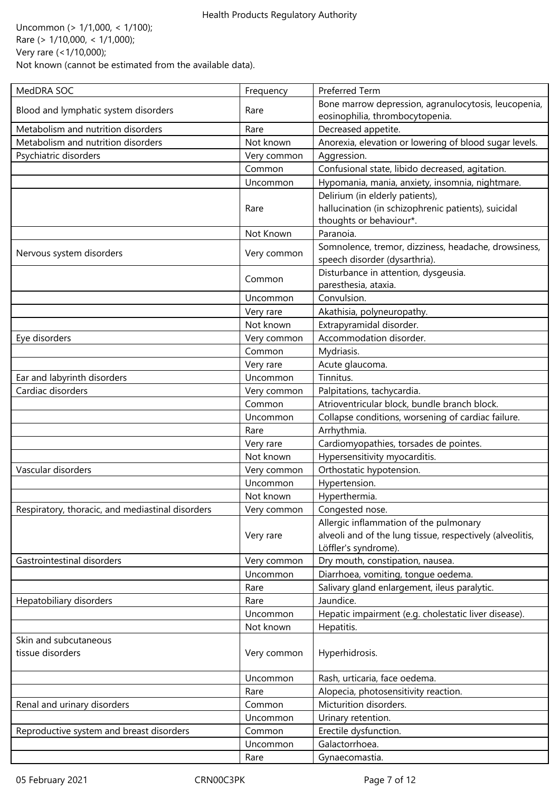Uncommon (> 1/1,000, < 1/100); Rare (> 1/10,000, < 1/1,000); Very rare (<1/10,000); Not known (cannot be estimated from the available data).

| MedDRA SOC                                       | Frequency   | Preferred Term                                                                          |
|--------------------------------------------------|-------------|-----------------------------------------------------------------------------------------|
| Blood and lymphatic system disorders             | Rare        | Bone marrow depression, agranulocytosis, leucopenia,<br>eosinophilia, thrombocytopenia. |
| Metabolism and nutrition disorders               | Rare        | Decreased appetite.                                                                     |
| Metabolism and nutrition disorders               | Not known   | Anorexia, elevation or lowering of blood sugar levels.                                  |
| Psychiatric disorders                            | Very common | Aggression.                                                                             |
|                                                  | Common      | Confusional state, libido decreased, agitation.                                         |
|                                                  | Uncommon    | Hypomania, mania, anxiety, insomnia, nightmare.                                         |
|                                                  |             | Delirium (in elderly patients),                                                         |
|                                                  | Rare        | hallucination (in schizophrenic patients), suicidal                                     |
|                                                  |             | thoughts or behaviour*.                                                                 |
|                                                  | Not Known   | Paranoia.                                                                               |
| Nervous system disorders                         | Very common | Somnolence, tremor, dizziness, headache, drowsiness,<br>speech disorder (dysarthria).   |
|                                                  | Common      | Disturbance in attention, dysgeusia.<br>paresthesia, ataxia.                            |
|                                                  | Uncommon    | Convulsion.                                                                             |
|                                                  | Very rare   | Akathisia, polyneuropathy.                                                              |
|                                                  | Not known   | Extrapyramidal disorder.                                                                |
| Eye disorders                                    | Very common | Accommodation disorder.                                                                 |
|                                                  | Common      | Mydriasis.                                                                              |
|                                                  | Very rare   | Acute glaucoma.                                                                         |
| Ear and labyrinth disorders                      | Uncommon    | Tinnitus.                                                                               |
| Cardiac disorders                                | Very common | Palpitations, tachycardia.                                                              |
|                                                  | Common      | Atrioventricular block, bundle branch block.                                            |
|                                                  | Uncommon    | Collapse conditions, worsening of cardiac failure.                                      |
|                                                  | Rare        | Arrhythmia.                                                                             |
|                                                  | Very rare   | Cardiomyopathies, torsades de pointes.                                                  |
|                                                  | Not known   | Hypersensitivity myocarditis.                                                           |
| Vascular disorders                               | Very common | Orthostatic hypotension.                                                                |
|                                                  | Uncommon    | Hypertension.                                                                           |
|                                                  | Not known   | Hyperthermia.                                                                           |
| Respiratory, thoracic, and mediastinal disorders | Very common | Congested nose.                                                                         |
|                                                  |             | Allergic inflammation of the pulmonary                                                  |
|                                                  | Very rare   | alveoli and of the lung tissue, respectively (alveolitis,                               |
|                                                  |             | Löffler's syndrome).                                                                    |
| Gastrointestinal disorders                       | Very common | Dry mouth, constipation, nausea.                                                        |
|                                                  | Uncommon    | Diarrhoea, vomiting, tongue oedema.                                                     |
|                                                  | Rare        | Salivary gland enlargement, ileus paralytic.                                            |
| Hepatobiliary disorders                          | Rare        | Jaundice.                                                                               |
|                                                  | Uncommon    | Hepatic impairment (e.g. cholestatic liver disease).                                    |
|                                                  | Not known   | Hepatitis.                                                                              |
| Skin and subcutaneous                            |             |                                                                                         |
| tissue disorders                                 | Very common | Hyperhidrosis.                                                                          |
|                                                  | Uncommon    | Rash, urticaria, face oedema.                                                           |
|                                                  | Rare        | Alopecia, photosensitivity reaction.                                                    |
| Renal and urinary disorders                      | Common      | Micturition disorders.                                                                  |
|                                                  | Uncommon    | Urinary retention.                                                                      |
| Reproductive system and breast disorders         | Common      | Erectile dysfunction.                                                                   |
|                                                  | Uncommon    | Galactorrhoea.                                                                          |
|                                                  | Rare        | Gynaecomastia.                                                                          |
|                                                  |             |                                                                                         |

05 February 2021 **CRN00C3PK** CRN00C3PK Page 7 of 12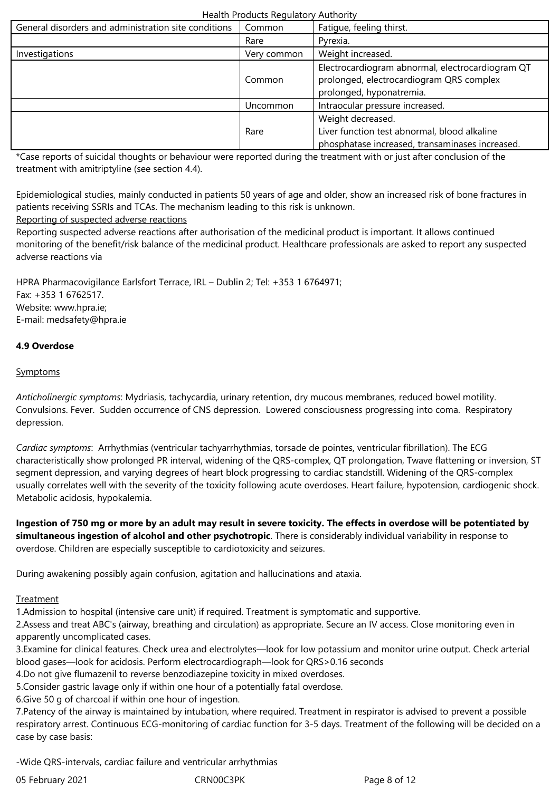| General disorders and administration site conditions | Common      | Fatigue, feeling thirst.                                                                                                 |
|------------------------------------------------------|-------------|--------------------------------------------------------------------------------------------------------------------------|
|                                                      | Rare        | Pyrexia.                                                                                                                 |
| Investigations                                       | Very common | Weight increased.                                                                                                        |
|                                                      | Common      | Electrocardiogram abnormal, electrocardiogram QT<br>prolonged, electrocardiogram QRS complex<br>prolonged, hyponatremia. |
|                                                      | Uncommon    | Intraocular pressure increased.                                                                                          |
|                                                      | Rare        | Weight decreased.<br>Liver function test abnormal, blood alkaline<br>phosphatase increased, transaminases increased.     |

\*Case reports of suicidal thoughts or behaviour were reported during the treatment with or just after conclusion of the treatment with amitriptyline (see section 4.4).

Epidemiological studies, mainly conducted in patients 50 years of age and older, show an increased risk of bone fractures in patients receiving SSRIs and TCAs. The mechanism leading to this risk is unknown.

# Reporting of suspected adverse reactions

Reporting suspected adverse reactions after authorisation of the medicinal product is important. It allows continued monitoring of the benefit/risk balance of the medicinal product. Healthcare professionals are asked to report any suspected adverse reactions via

HPRA Pharmacovigilance Earlsfort Terrace, IRL – Dublin 2; Tel: +353 1 6764971; Fax: +353 1 6762517. Website: www.hpra.ie; E-mail: medsafety@hpra.ie

# **4.9 Overdose**

# **Symptoms**

*Anticholinergic symptoms*: Mydriasis, tachycardia, urinary retention, dry mucous membranes, reduced bowel motility. Convulsions. Fever. Sudden occurrence of CNS depression. Lowered consciousness progressing into coma. Respiratory depression.

*Cardiac symptoms*: Arrhythmias (ventricular tachyarrhythmias, torsade de pointes, ventricular fibrillation). The ECG characteristically show prolonged PR interval, widening of the QRS-complex, QT prolongation, Twave flattening or inversion, ST segment depression, and varying degrees of heart block progressing to cardiac standstill. Widening of the QRS-complex usually correlates well with the severity of the toxicity following acute overdoses. Heart failure, hypotension, cardiogenic shock. Metabolic acidosis, hypokalemia.

**Ingestion of 750 mg or more by an adult may result in severe toxicity. The effects in overdose will be potentiated by simultaneous ingestion of alcohol and other psychotropic**. There is considerably individual variability in response to overdose. Children are especially susceptible to cardiotoxicity and seizures.

During awakening possibly again confusion, agitation and hallucinations and ataxia.

# **Treatment**

1.Admission to hospital (intensive care unit) if required. Treatment is symptomatic and supportive.

2.Assess and treat ABC's (airway, breathing and circulation) as appropriate. Secure an IV access. Close monitoring even in apparently uncomplicated cases.

3.Examine for clinical features. Check urea and electrolytes—look for low potassium and monitor urine output. Check arterial blood gases—look for acidosis. Perform electrocardiograph—look for QRS>0.16 seconds

4.Do not give flumazenil to reverse benzodiazepine toxicity in mixed overdoses.

5.Consider gastric lavage only if within one hour of a potentially fatal overdose.

6.Give 50 g of charcoal if within one hour of ingestion.

7.Patency of the airway is maintained by intubation, where required. Treatment in respirator is advised to prevent a possible respiratory arrest. Continuous ECG-monitoring of cardiac function for 3-5 days. Treatment of the following will be decided on a case by case basis:

-Wide QRS-intervals, cardiac failure and ventricular arrhythmias

05 February 2021 CRN00C3PK Page 8 of 12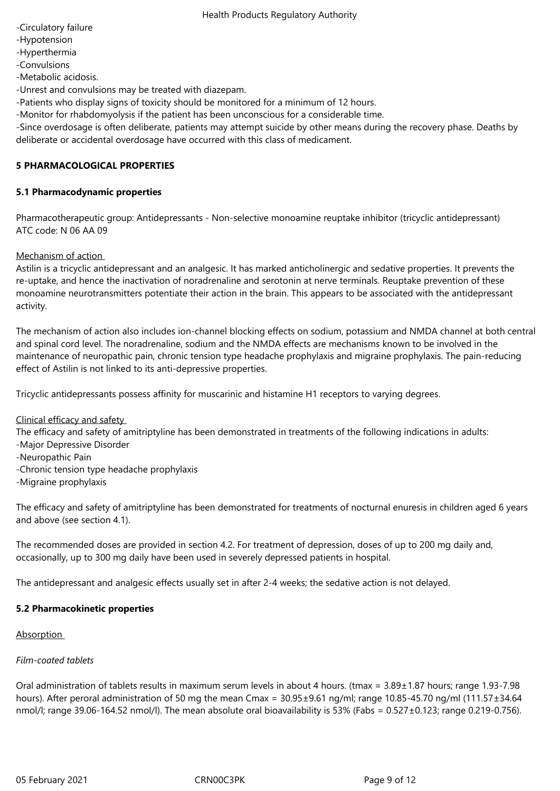- -Circulatory failure
- -Hypotension
- -Hyperthermia
- -Convulsions

-Metabolic acidosis.

-Unrest and convulsions may be treated with diazepam.

-Patients who display signs of toxicity should be monitored for a minimum of 12 hours.

-Monitor for rhabdomyolysis if the patient has been unconscious for a considerable time.

-Since overdosage is often deliberate, patients may attempt suicide by other means during the recovery phase. Deaths by deliberate or accidental overdosage have occurred with this class of medicament.

# **5 PHARMACOLOGICAL PROPERTIES**

# **5.1 Pharmacodynamic properties**

Pharmacotherapeutic group: Antidepressants - Non-selective monoamine reuptake inhibitor (tricyclic antidepressant) ATC code: N 06 AA 09

Mechanism of action

Astilin is a tricyclic antidepressant and an analgesic. It has marked anticholinergic and sedative properties. It prevents the re-uptake, and hence the inactivation of noradrenaline and serotonin at nerve terminals. Reuptake prevention of these monoamine neurotransmitters potentiate their action in the brain. This appears to be associated with the antidepressant activity.

The mechanism of action also includes ion-channel blocking effects on sodium, potassium and NMDA channel at both central and spinal cord level. The noradrenaline, sodium and the NMDA effects are mechanisms known to be involved in the maintenance of neuropathic pain, chronic tension type headache prophylaxis and migraine prophylaxis. The pain-reducing effect of Astilin is not linked to its anti-depressive properties.

Tricyclic antidepressants possess affinity for muscarinic and histamine H1 receptors to varying degrees.

#### Clinical efficacy and safety

The efficacy and safety of amitriptyline has been demonstrated in treatments of the following indications in adults:

- -Major Depressive Disorder
- -Neuropathic Pain
- -Chronic tension type headache prophylaxis
- -Migraine prophylaxis

The efficacy and safety of amitriptyline has been demonstrated for treatments of nocturnal enuresis in children aged 6 years and above (see section 4.1).

The recommended doses are provided in section 4.2. For treatment of depression, doses of up to 200 mg daily and, occasionally, up to 300 mg daily have been used in severely depressed patients in hospital.

The antidepressant and analgesic effects usually set in after 2-4 weeks; the sedative action is not delayed.

# **5.2 Pharmacokinetic properties**

#### Absorption

# *Film-coated tablets*

Oral administration of tablets results in maximum serum levels in about 4 hours. (tmax = 3.89±1.87 hours; range 1.93-7.98 hours). After peroral administration of 50 mg the mean Cmax = 30.95±9.61 ng/ml; range 10.85-45.70 ng/ml (111.57±34.64 nmol/l; range 39.06-164.52 nmol/l). The mean absolute oral bioavailability is 53% (Fabs = 0.527±0.123; range 0.219-0.756).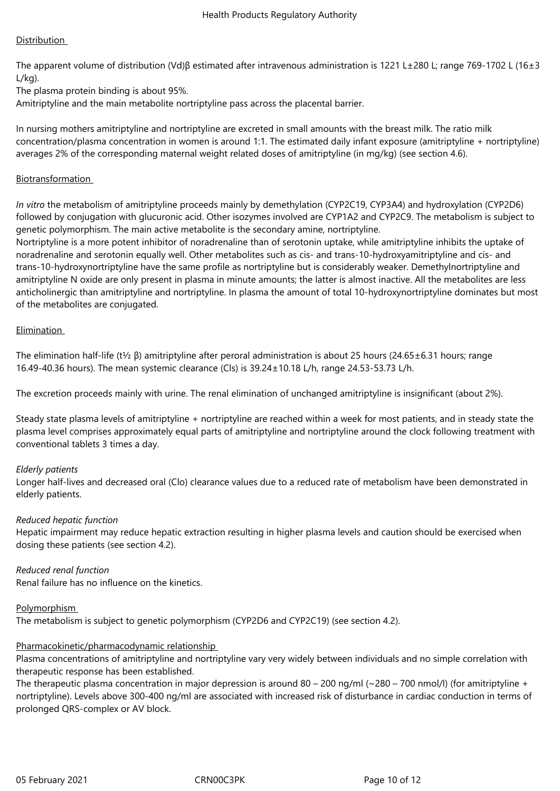# Distribution

The apparent volume of distribution (Vd)β estimated after intravenous administration is 1221 L±280 L; range 769-1702 L (16±3 L/kg).

The plasma protein binding is about 95%.

Amitriptyline and the main metabolite nortriptyline pass across the placental barrier.

In nursing mothers amitriptyline and nortriptyline are excreted in small amounts with the breast milk. The ratio milk concentration/plasma concentration in women is around 1:1. The estimated daily infant exposure (amitriptyline + nortriptyline) averages 2% of the corresponding maternal weight related doses of amitriptyline (in mg/kg) (see section 4.6).

# **Biotransformation**

*In vitro* the metabolism of amitriptyline proceeds mainly by demethylation (CYP2C19, CYP3A4) and hydroxylation (CYP2D6) followed by conjugation with glucuronic acid. Other isozymes involved are CYP1A2 and CYP2C9. The metabolism is subject to genetic polymorphism. The main active metabolite is the secondary amine, nortriptyline.

Nortriptyline is a more potent inhibitor of noradrenaline than of serotonin uptake, while amitriptyline inhibits the uptake of noradrenaline and serotonin equally well. Other metabolites such as cis- and trans-10-hydroxyamitriptyline and cis- and trans-10-hydroxynortriptyline have the same profile as nortriptyline but is considerably weaker. Demethylnortriptyline and amitriptyline N oxide are only present in plasma in minute amounts; the latter is almost inactive. All the metabolites are less anticholinergic than amitriptyline and nortriptyline. In plasma the amount of total 10-hydroxynortriptyline dominates but most of the metabolites are conjugated.

## Elimination

The elimination half-life (t½ β) amitriptyline after peroral administration is about 25 hours (24.65±6.31 hours; range 16.49-40.36 hours). The mean systemic clearance (Cls) is 39.24±10.18 L/h, range 24.53-53.73 L/h.

The excretion proceeds mainly with urine. The renal elimination of unchanged amitriptyline is insignificant (about 2%).

Steady state plasma levels of amitriptyline + nortriptyline are reached within a week for most patients, and in steady state the plasma level comprises approximately equal parts of amitriptyline and nortriptyline around the clock following treatment with conventional tablets 3 times a day.

#### *Elderly patients*

Longer half-lives and decreased oral (Clo) clearance values due to a reduced rate of metabolism have been demonstrated in elderly patients.

#### *Reduced hepatic function*

Hepatic impairment may reduce hepatic extraction resulting in higher plasma levels and caution should be exercised when dosing these patients (see section 4.2).

*Reduced renal function*  Renal failure has no influence on the kinetics.

# Polymorphism

The metabolism is subject to genetic polymorphism (CYP2D6 and CYP2C19) (see section 4.2).

# Pharmacokinetic/pharmacodynamic relationship

Plasma concentrations of amitriptyline and nortriptyline vary very widely between individuals and no simple correlation with therapeutic response has been established.

The therapeutic plasma concentration in major depression is around  $80 - 200$  ng/ml (~280 – 700 nmol/l) (for amitriptyline + nortriptyline). Levels above 300-400 ng/ml are associated with increased risk of disturbance in cardiac conduction in terms of prolonged QRS-complex or AV block.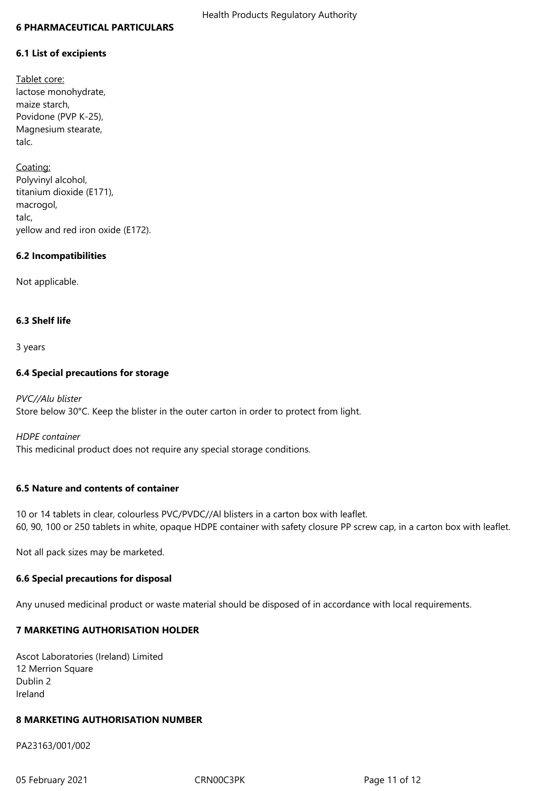#### **6 PHARMACEUTICAL PARTICULARS**

## **6.1 List of excipients**

Tablet core: lactose monohydrate, maize starch, Povidone (PVP K-25), Magnesium stearate, talc.

Coating: Polyvinyl alcohol, titanium dioxide (E171), macrogol, talc, yellow and red iron oxide (E172).

## **6.2 Incompatibilities**

Not applicable.

## **6.3 Shelf life**

3 years

## **6.4 Special precautions for storage**

*PVC//Alu blister* Store below 30°C. Keep the blister in the outer carton in order to protect from light.

*HDPE container* This medicinal product does not require any special storage conditions.

#### **6.5 Nature and contents of container**

10 or 14 tablets in clear, colourless PVC/PVDC//Al blisters in a carton box with leaflet. 60, 90, 100 or 250 tablets in white, opaque HDPE container with safety closure PP screw cap, in a carton box with leaflet.

Not all pack sizes may be marketed.

#### **6.6 Special precautions for disposal**

Any unused medicinal product or waste material should be disposed of in accordance with local requirements.

# **7 MARKETING AUTHORISATION HOLDER**

Ascot Laboratories (Ireland) Limited 12 Merrion Square Dublin 2 Ireland

#### **8 MARKETING AUTHORISATION NUMBER**

PA23163/001/002

05 February 2021 **CRN00C3PK** CRNOC3PK Page 11 of 12